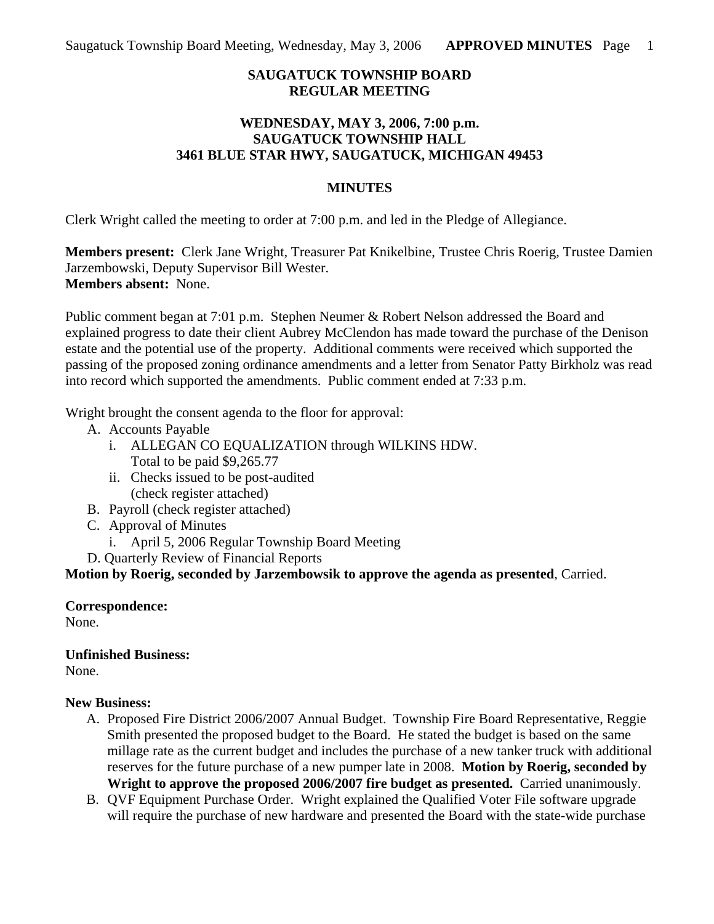### **SAUGATUCK TOWNSHIP BOARD REGULAR MEETING**

### **WEDNESDAY, MAY 3, 2006, 7:00 p.m. SAUGATUCK TOWNSHIP HALL 3461 BLUE STAR HWY, SAUGATUCK, MICHIGAN 49453**

#### **MINUTES**

Clerk Wright called the meeting to order at 7:00 p.m. and led in the Pledge of Allegiance.

**Members present:** Clerk Jane Wright, Treasurer Pat Knikelbine, Trustee Chris Roerig, Trustee Damien Jarzembowski, Deputy Supervisor Bill Wester. **Members absent:** None.

Public comment began at 7:01 p.m. Stephen Neumer & Robert Nelson addressed the Board and explained progress to date their client Aubrey McClendon has made toward the purchase of the Denison estate and the potential use of the property. Additional comments were received which supported the passing of the proposed zoning ordinance amendments and a letter from Senator Patty Birkholz was read into record which supported the amendments. Public comment ended at 7:33 p.m.

Wright brought the consent agenda to the floor for approval:

- A. Accounts Payable
	- i. ALLEGAN CO EQUALIZATION through WILKINS HDW. Total to be paid \$9,265.77
	- ii. Checks issued to be post-audited (check register attached)
- B. Payroll (check register attached)
- C. Approval of Minutes
	- i. April 5, 2006 Regular Township Board Meeting
- D. Quarterly Review of Financial Reports

**Motion by Roerig, seconded by Jarzembowsik to approve the agenda as presented**, Carried.

# **Correspondence:**

None.

# **Unfinished Business:**

None.

# **New Business:**

- A. Proposed Fire District 2006/2007 Annual Budget. Township Fire Board Representative, Reggie Smith presented the proposed budget to the Board. He stated the budget is based on the same millage rate as the current budget and includes the purchase of a new tanker truck with additional reserves for the future purchase of a new pumper late in 2008. **Motion by Roerig, seconded by Wright to approve the proposed 2006/2007 fire budget as presented.** Carried unanimously.
- B. QVF Equipment Purchase Order. Wright explained the Qualified Voter File software upgrade will require the purchase of new hardware and presented the Board with the state-wide purchase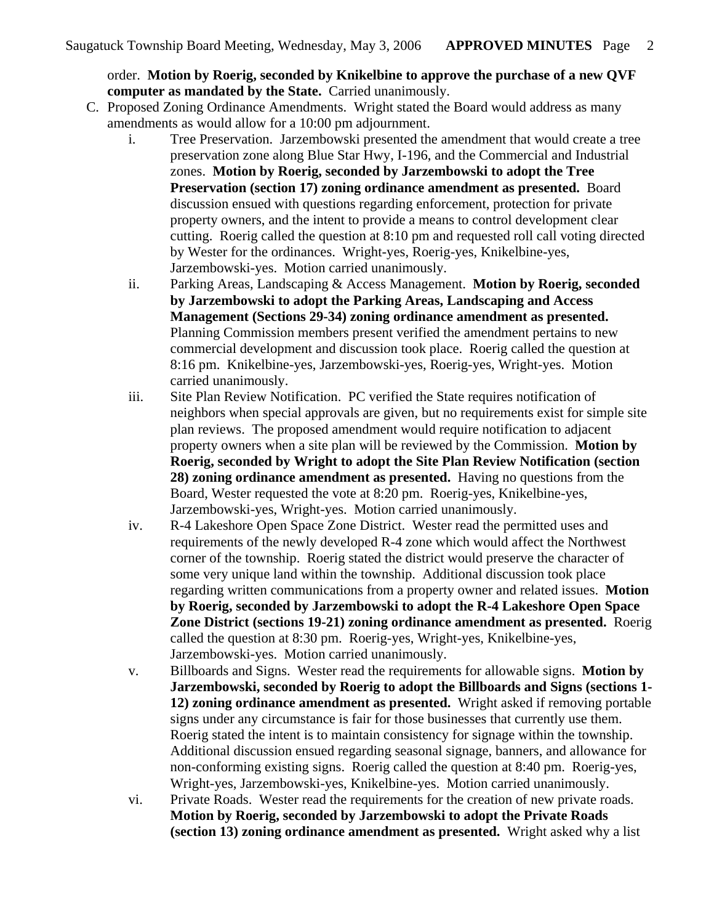order. **Motion by Roerig, seconded by Knikelbine to approve the purchase of a new QVF computer as mandated by the State.** Carried unanimously.

- C. Proposed Zoning Ordinance Amendments. Wright stated the Board would address as many amendments as would allow for a 10:00 pm adjournment.
	- i. Tree Preservation. Jarzembowski presented the amendment that would create a tree preservation zone along Blue Star Hwy, I-196, and the Commercial and Industrial zones. **Motion by Roerig, seconded by Jarzembowski to adopt the Tree Preservation (section 17) zoning ordinance amendment as presented.** Board discussion ensued with questions regarding enforcement, protection for private property owners, and the intent to provide a means to control development clear cutting. Roerig called the question at 8:10 pm and requested roll call voting directed by Wester for the ordinances. Wright-yes, Roerig-yes, Knikelbine-yes, Jarzembowski-yes. Motion carried unanimously.
	- ii. Parking Areas, Landscaping & Access Management. **Motion by Roerig, seconded by Jarzembowski to adopt the Parking Areas, Landscaping and Access Management (Sections 29-34) zoning ordinance amendment as presented.** Planning Commission members present verified the amendment pertains to new commercial development and discussion took place. Roerig called the question at 8:16 pm. Knikelbine-yes, Jarzembowski-yes, Roerig-yes, Wright-yes. Motion carried unanimously.
	- iii. Site Plan Review Notification. PC verified the State requires notification of neighbors when special approvals are given, but no requirements exist for simple site plan reviews. The proposed amendment would require notification to adjacent property owners when a site plan will be reviewed by the Commission. **Motion by Roerig, seconded by Wright to adopt the Site Plan Review Notification (section 28) zoning ordinance amendment as presented.** Having no questions from the Board, Wester requested the vote at 8:20 pm. Roerig-yes, Knikelbine-yes, Jarzembowski-yes, Wright-yes. Motion carried unanimously.
	- iv. R-4 Lakeshore Open Space Zone District. Wester read the permitted uses and requirements of the newly developed R-4 zone which would affect the Northwest corner of the township. Roerig stated the district would preserve the character of some very unique land within the township. Additional discussion took place regarding written communications from a property owner and related issues. **Motion by Roerig, seconded by Jarzembowski to adopt the R-4 Lakeshore Open Space Zone District (sections 19-21) zoning ordinance amendment as presented.** Roerig called the question at 8:30 pm. Roerig-yes, Wright-yes, Knikelbine-yes, Jarzembowski-yes. Motion carried unanimously.
	- v. Billboards and Signs. Wester read the requirements for allowable signs. **Motion by Jarzembowski, seconded by Roerig to adopt the Billboards and Signs (sections 1- 12) zoning ordinance amendment as presented.** Wright asked if removing portable signs under any circumstance is fair for those businesses that currently use them. Roerig stated the intent is to maintain consistency for signage within the township. Additional discussion ensued regarding seasonal signage, banners, and allowance for non-conforming existing signs. Roerig called the question at 8:40 pm. Roerig-yes, Wright-yes, Jarzembowski-yes, Knikelbine-yes. Motion carried unanimously.
	- vi. Private Roads. Wester read the requirements for the creation of new private roads. **Motion by Roerig, seconded by Jarzembowski to adopt the Private Roads (section 13) zoning ordinance amendment as presented.** Wright asked why a list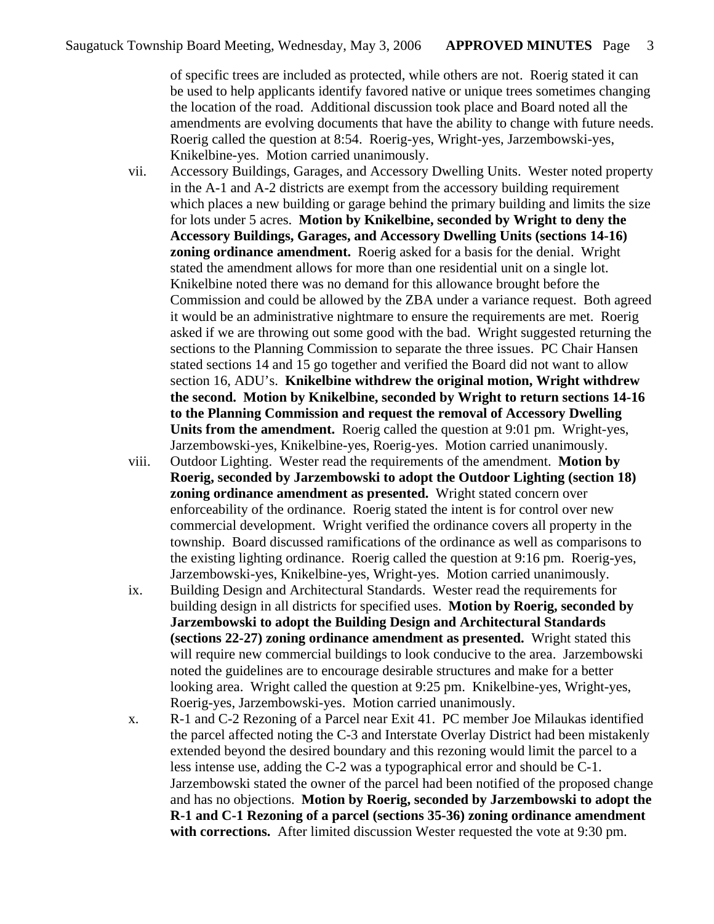of specific trees are included as protected, while others are not. Roerig stated it can be used to help applicants identify favored native or unique trees sometimes changing the location of the road. Additional discussion took place and Board noted all the amendments are evolving documents that have the ability to change with future needs. Roerig called the question at 8:54. Roerig-yes, Wright-yes, Jarzembowski-yes, Knikelbine-yes. Motion carried unanimously.

- vii. Accessory Buildings, Garages, and Accessory Dwelling Units. Wester noted property in the A-1 and A-2 districts are exempt from the accessory building requirement which places a new building or garage behind the primary building and limits the size for lots under 5 acres. **Motion by Knikelbine, seconded by Wright to deny the Accessory Buildings, Garages, and Accessory Dwelling Units (sections 14-16) zoning ordinance amendment.** Roerig asked for a basis for the denial. Wright stated the amendment allows for more than one residential unit on a single lot. Knikelbine noted there was no demand for this allowance brought before the Commission and could be allowed by the ZBA under a variance request. Both agreed it would be an administrative nightmare to ensure the requirements are met. Roerig asked if we are throwing out some good with the bad. Wright suggested returning the sections to the Planning Commission to separate the three issues. PC Chair Hansen stated sections 14 and 15 go together and verified the Board did not want to allow section 16, ADU's. **Knikelbine withdrew the original motion, Wright withdrew the second. Motion by Knikelbine, seconded by Wright to return sections 14-16 to the Planning Commission and request the removal of Accessory Dwelling Units from the amendment.** Roerig called the question at 9:01 pm. Wright-yes, Jarzembowski-yes, Knikelbine-yes, Roerig-yes. Motion carried unanimously.
- viii. Outdoor Lighting. Wester read the requirements of the amendment. **Motion by Roerig, seconded by Jarzembowski to adopt the Outdoor Lighting (section 18) zoning ordinance amendment as presented.** Wright stated concern over enforceability of the ordinance. Roerig stated the intent is for control over new commercial development. Wright verified the ordinance covers all property in the township. Board discussed ramifications of the ordinance as well as comparisons to the existing lighting ordinance. Roerig called the question at 9:16 pm. Roerig-yes, Jarzembowski-yes, Knikelbine-yes, Wright-yes. Motion carried unanimously.
- ix. Building Design and Architectural Standards. Wester read the requirements for building design in all districts for specified uses. **Motion by Roerig, seconded by Jarzembowski to adopt the Building Design and Architectural Standards (sections 22-27) zoning ordinance amendment as presented.** Wright stated this will require new commercial buildings to look conducive to the area. Jarzembowski noted the guidelines are to encourage desirable structures and make for a better looking area. Wright called the question at 9:25 pm. Knikelbine-yes, Wright-yes, Roerig-yes, Jarzembowski-yes. Motion carried unanimously.
- x. R-1 and C-2 Rezoning of a Parcel near Exit 41. PC member Joe Milaukas identified the parcel affected noting the C-3 and Interstate Overlay District had been mistakenly extended beyond the desired boundary and this rezoning would limit the parcel to a less intense use, adding the C-2 was a typographical error and should be C-1. Jarzembowski stated the owner of the parcel had been notified of the proposed change and has no objections. **Motion by Roerig, seconded by Jarzembowski to adopt the R-1 and C-1 Rezoning of a parcel (sections 35-36) zoning ordinance amendment with corrections.** After limited discussion Wester requested the vote at 9:30 pm.